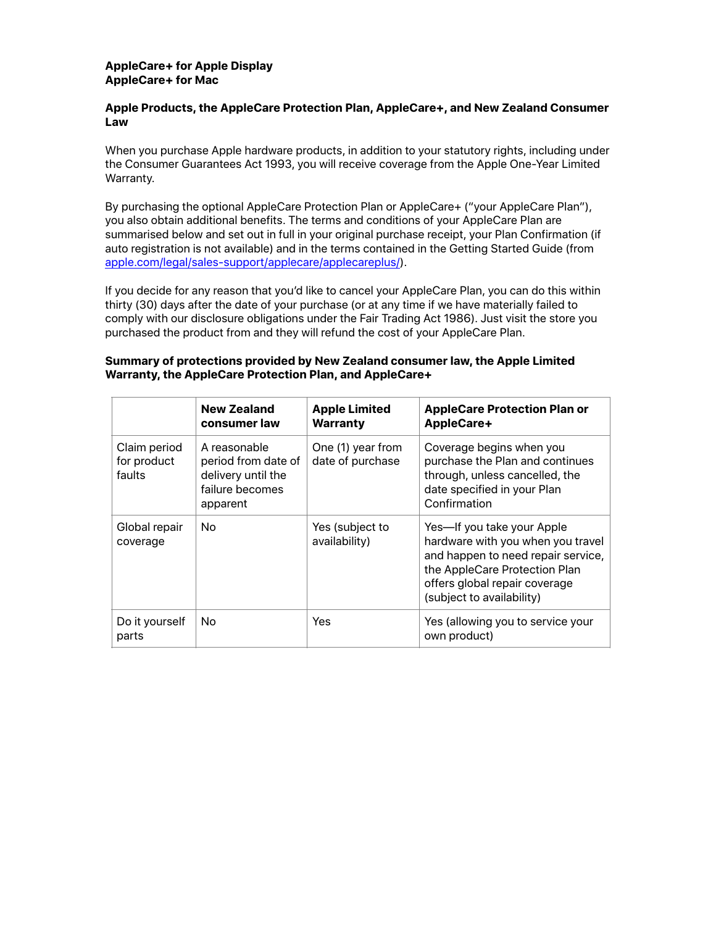## **AppleCare+ for Apple Display AppleCare+ for Mac**

## **Apple Products, the AppleCare Protection Plan, AppleCare+, and New Zealand Consumer Law**

When you purchase Apple hardware products, in addition to your statutory rights, including under the Consumer Guarantees Act 1993, you will receive coverage from the Apple One-Year Limited Warranty.

By purchasing the optional AppleCare Protection Plan or AppleCare+ ("your AppleCare Plan"), you also obtain additional benefits. The terms and conditions of your AppleCare Plan are summarised below and set out in full in your original purchase receipt, your Plan Confirmation (if auto registration is not available) and in the terms contained in the Getting Started Guide (from [apple.com/legal/sales-support/applecare/applecareplus/](http://www.apple.com/legal/sales-support/applecare/applecareplus/)).

If you decide for any reason that you'd like to cancel your AppleCare Plan, you can do this within thirty (30) days after the date of your purchase (or at any time if we have materially failed to comply with our disclosure obligations under the Fair Trading Act 1986). Just visit the store you purchased the product from and they will refund the cost of your AppleCare Plan.

# **Summary of protections provided by New Zealand consumer law, the Apple Limited Warranty, the AppleCare Protection Plan, and AppleCare+**

|                                       | <b>New Zealand</b><br>consumer law                                                       | <b>Apple Limited</b><br><b>Warranty</b> | <b>AppleCare Protection Plan or</b><br><b>AppleCare+</b>                                                                                                                                             |  |
|---------------------------------------|------------------------------------------------------------------------------------------|-----------------------------------------|------------------------------------------------------------------------------------------------------------------------------------------------------------------------------------------------------|--|
| Claim period<br>for product<br>faults | A reasonable<br>period from date of<br>delivery until the<br>failure becomes<br>apparent | One (1) year from<br>date of purchase   | Coverage begins when you<br>purchase the Plan and continues<br>through, unless cancelled, the<br>date specified in your Plan<br>Confirmation                                                         |  |
| Global repair<br>coverage             | No.                                                                                      | Yes (subject to<br>availability)        | Yes-If you take your Apple<br>hardware with you when you travel<br>and happen to need repair service,<br>the AppleCare Protection Plan<br>offers global repair coverage<br>(subject to availability) |  |
| Do it yourself<br>parts               | No.                                                                                      | Yes                                     | Yes (allowing you to service your<br>own product)                                                                                                                                                    |  |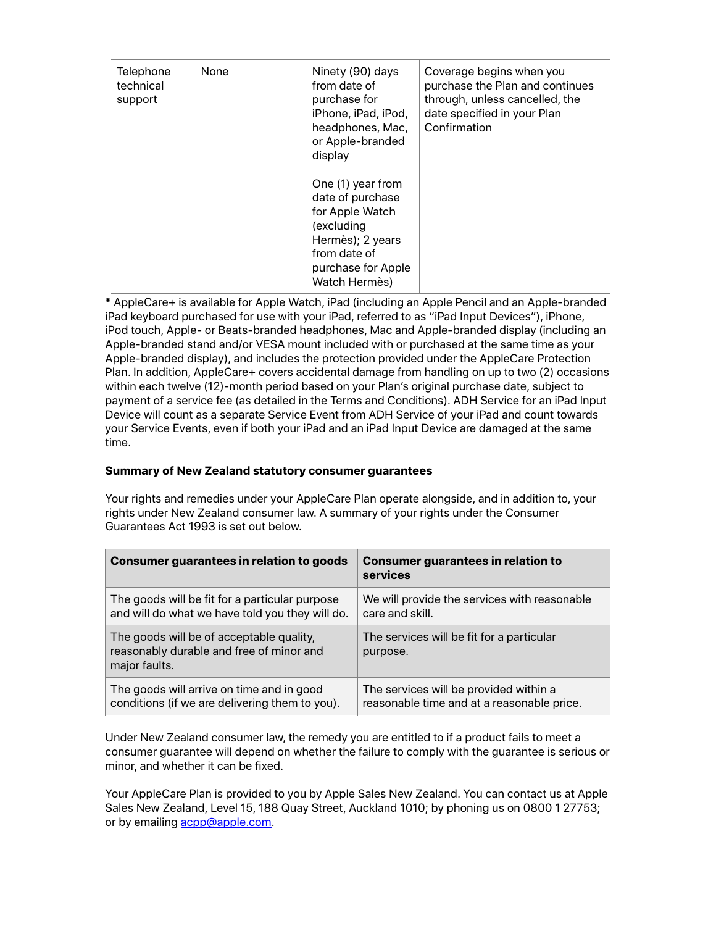| Telephone<br>technical<br>support | None | Ninety (90) days<br>from date of<br>purchase for<br>iPhone, iPad, iPod,<br>headphones, Mac,<br>or Apple-branded<br>display                        | Coverage begins when you<br>purchase the Plan and continues<br>through, unless cancelled, the<br>date specified in your Plan<br>Confirmation |
|-----------------------------------|------|---------------------------------------------------------------------------------------------------------------------------------------------------|----------------------------------------------------------------------------------------------------------------------------------------------|
|                                   |      | One (1) year from<br>date of purchase<br>for Apple Watch<br>(excluding<br>Hermès); 2 years<br>from date of<br>purchase for Apple<br>Watch Hermès) |                                                                                                                                              |

**\*** AppleCare+ is available for Apple Watch, iPad (including an Apple Pencil and an Apple-branded iPad keyboard purchased for use with your iPad, referred to as "iPad Input Devices"), iPhone, iPod touch, Apple- or Beats-branded headphones, Mac and Apple-branded display (including an Apple-branded stand and/or VESA mount included with or purchased at the same time as your Apple-branded display), and includes the protection provided under the AppleCare Protection Plan. In addition, AppleCare+ covers accidental damage from handling on up to two (2) occasions within each twelve (12)-month period based on your Plan's original purchase date, subject to payment of a service fee (as detailed in the Terms and Conditions). ADH Service for an iPad Input Device will count as a separate Service Event from ADH Service of your iPad and count towards your Service Events, even if both your iPad and an iPad Input Device are damaged at the same time.

# **Summary of New Zealand statutory consumer guarantees**

Your rights and remedies under your AppleCare Plan operate alongside, and in addition to, your rights under New Zealand consumer law. A summary of your rights under the Consumer Guarantees Act 1993 is set out below.

| Consumer guarantees in relation to goods                                                              | <b>Consumer guarantees in relation to</b><br>services |  |
|-------------------------------------------------------------------------------------------------------|-------------------------------------------------------|--|
| The goods will be fit for a particular purpose                                                        | We will provide the services with reasonable          |  |
| and will do what we have told you they will do.                                                       | care and skill.                                       |  |
| The goods will be of acceptable quality,<br>reasonably durable and free of minor and<br>major faults. | The services will be fit for a particular<br>purpose. |  |
| The goods will arrive on time and in good                                                             | The services will be provided within a                |  |
| conditions (if we are delivering them to you).                                                        | reasonable time and at a reasonable price.            |  |

Under New Zealand consumer law, the remedy you are entitled to if a product fails to meet a consumer guarantee will depend on whether the failure to comply with the guarantee is serious or minor, and whether it can be fixed.

Your AppleCare Plan is provided to you by Apple Sales New Zealand. You can contact us at Apple Sales New Zealand, Level 15, 188 Quay Street, Auckland 1010; by phoning us on 0800 1 27753; or by emailing [acpp@apple.com](mailto:acpp@apple.com).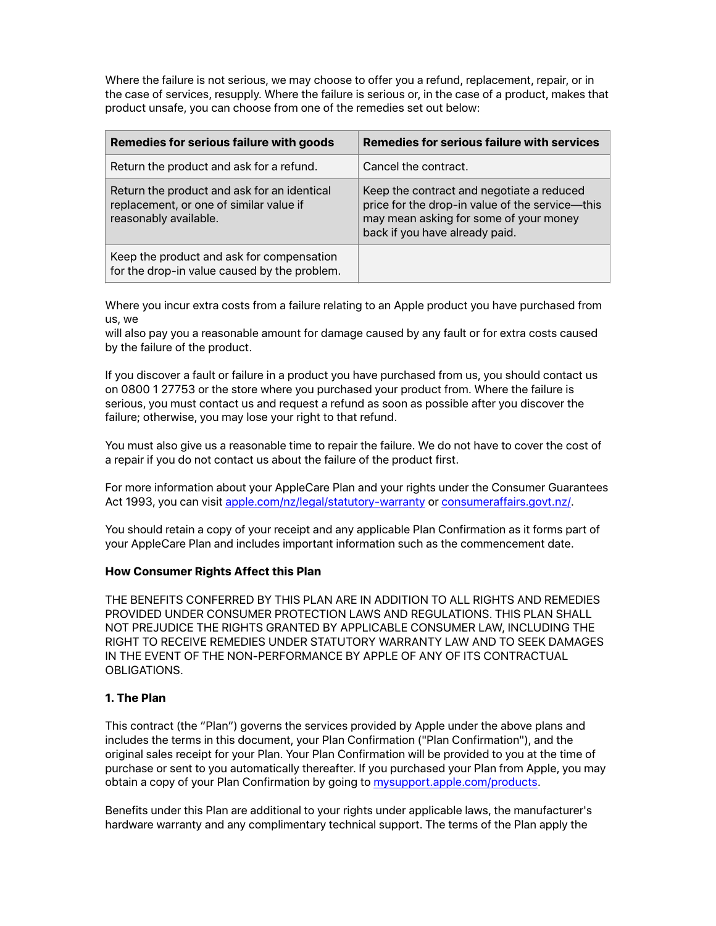Where the failure is not serious, we may choose to offer you a refund, replacement, repair, or in the case of services, resupply. Where the failure is serious or, in the case of a product, makes that product unsafe, you can choose from one of the remedies set out below:

| Remedies for serious failure with goods                                                                         | <b>Remedies for serious failure with services</b>                                                                                                                        |
|-----------------------------------------------------------------------------------------------------------------|--------------------------------------------------------------------------------------------------------------------------------------------------------------------------|
| Return the product and ask for a refund.                                                                        | Cancel the contract.                                                                                                                                                     |
| Return the product and ask for an identical<br>replacement, or one of similar value if<br>reasonably available. | Keep the contract and negotiate a reduced<br>price for the drop-in value of the service-this<br>may mean asking for some of your money<br>back if you have already paid. |
| Keep the product and ask for compensation<br>for the drop-in value caused by the problem.                       |                                                                                                                                                                          |

Where you incur extra costs from a failure relating to an Apple product you have purchased from us, we

will also pay you a reasonable amount for damage caused by any fault or for extra costs caused by the failure of the product.

If you discover a fault or failure in a product you have purchased from us, you should contact us on 0800 1 27753 or the store where you purchased your product from. Where the failure is serious, you must contact us and request a refund as soon as possible after you discover the failure; otherwise, you may lose your right to that refund.

You must also give us a reasonable time to repair the failure. We do not have to cover the cost of a repair if you do not contact us about the failure of the product first.

For more information about your AppleCare Plan and your rights under the Consumer Guarantees Act 1993, you can visit [apple.com/nz/legal/statutory-warranty](http://www.apple.com/nz/legal/statutory-warranty) or [consumeraffairs.govt.nz/](http://www.consumeraffairs.govt.nz/).

You should retain a copy of your receipt and any applicable Plan Confirmation as it forms part of your AppleCare Plan and includes important information such as the commencement date.

## **How Consumer Rights Affect this Plan**

THE BENEFITS CONFERRED BY THIS PLAN ARE IN ADDITION TO ALL RIGHTS AND REMEDIES PROVIDED UNDER CONSUMER PROTECTION LAWS AND REGULATIONS. THIS PLAN SHALL NOT PREJUDICE THE RIGHTS GRANTED BY APPLICABLE CONSUMER LAW, INCLUDING THE RIGHT TO RECEIVE REMEDIES UNDER STATUTORY WARRANTY LAW AND TO SEEK DAMAGES IN THE EVENT OF THE NON-PERFORMANCE BY APPLE OF ANY OF ITS CONTRACTUAL OBLIGATIONS.

## **1. The Plan**

This contract (the "Plan") governs the services provided by Apple under the above plans and includes the terms in this document, your Plan Confirmation ("Plan Confirmation"), and the original sales receipt for your Plan. Your Plan Confirmation will be provided to you at the time of purchase or sent to you automatically thereafter. If you purchased your Plan from Apple, you may obtain a copy of your Plan Confirmation by going to [mysupport.apple.com/products.](http://mysupport.apple.com/products)

Benefits under this Plan are additional to your rights under applicable laws, the manufacturer's hardware warranty and any complimentary technical support. The terms of the Plan apply the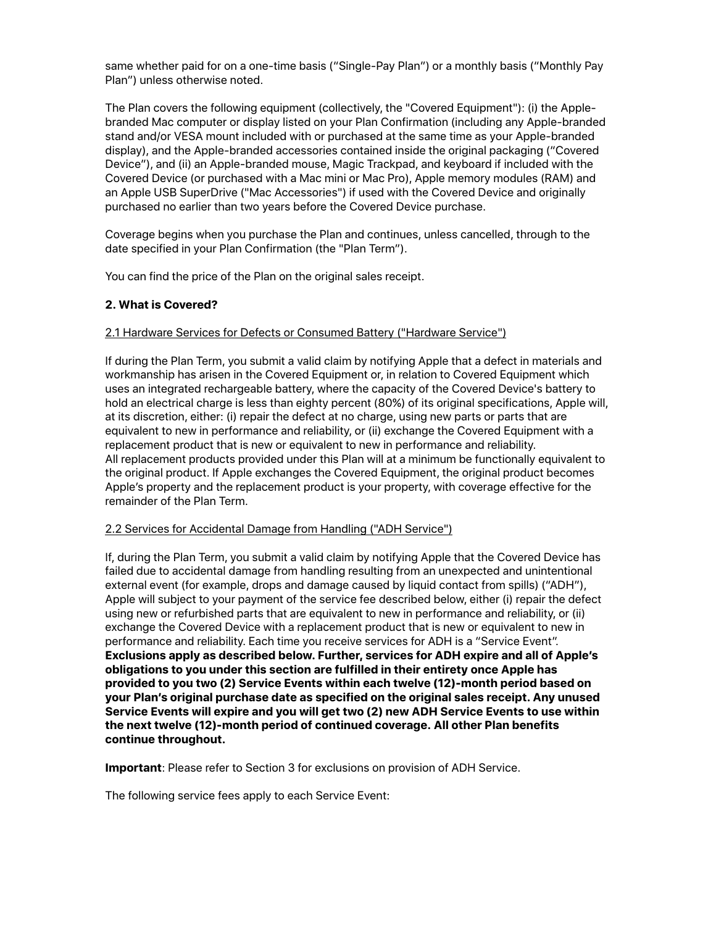same whether paid for on a one-time basis ("Single-Pay Plan") or a monthly basis ("Monthly Pay Plan") unless otherwise noted.

The Plan covers the following equipment (collectively, the "Covered Equipment"): (i) the Applebranded Mac computer or display listed on your Plan Confirmation (including any Apple-branded stand and/or VESA mount included with or purchased at the same time as your Apple-branded display), and the Apple-branded accessories contained inside the original packaging ("Covered Device"), and (ii) an Apple-branded mouse, Magic Trackpad, and keyboard if included with the Covered Device (or purchased with a Mac mini or Mac Pro), Apple memory modules (RAM) and an Apple USB SuperDrive ("Mac Accessories") if used with the Covered Device and originally purchased no earlier than two years before the Covered Device purchase.

Coverage begins when you purchase the Plan and continues, unless cancelled, through to the date specified in your Plan Confirmation (the "Plan Term").

You can find the price of the Plan on the original sales receipt.

# **2. What is Covered?**

## 2.1 Hardware Services for Defects or Consumed Battery ("Hardware Service")

If during the Plan Term, you submit a valid claim by notifying Apple that a defect in materials and workmanship has arisen in the Covered Equipment or, in relation to Covered Equipment which uses an integrated rechargeable battery, where the capacity of the Covered Device's battery to hold an electrical charge is less than eighty percent (80%) of its original specifications, Apple will, at its discretion, either: (i) repair the defect at no charge, using new parts or parts that are equivalent to new in performance and reliability, or (ii) exchange the Covered Equipment with a replacement product that is new or equivalent to new in performance and reliability. All replacement products provided under this Plan will at a minimum be functionally equivalent to the original product. If Apple exchanges the Covered Equipment, the original product becomes Apple's property and the replacement product is your property, with coverage effective for the remainder of the Plan Term.

# 2.2 Services for Accidental Damage from Handling ("ADH Service")

If, during the Plan Term, you submit a valid claim by notifying Apple that the Covered Device has failed due to accidental damage from handling resulting from an unexpected and unintentional external event (for example, drops and damage caused by liquid contact from spills) ("ADH"), Apple will subject to your payment of the service fee described below, either (i) repair the defect using new or refurbished parts that are equivalent to new in performance and reliability, or (ii) exchange the Covered Device with a replacement product that is new or equivalent to new in performance and reliability. Each time you receive services for ADH is a "Service Event". **Exclusions apply as described below. Further, services for ADH expire and all of Apple's obligations to you under this section are fulfilled in their entirety once Apple has provided to you two (2) Service Events within each twelve (12)-month period based on your Plan's original purchase date as specified on the original sales receipt. Any unused Service Events will expire and you will get two (2) new ADH Service Events to use within the next twelve (12)-month period of continued coverage. All other Plan benefits continue throughout.**

**Important**: Please refer to Section 3 for exclusions on provision of ADH Service.

The following service fees apply to each Service Event: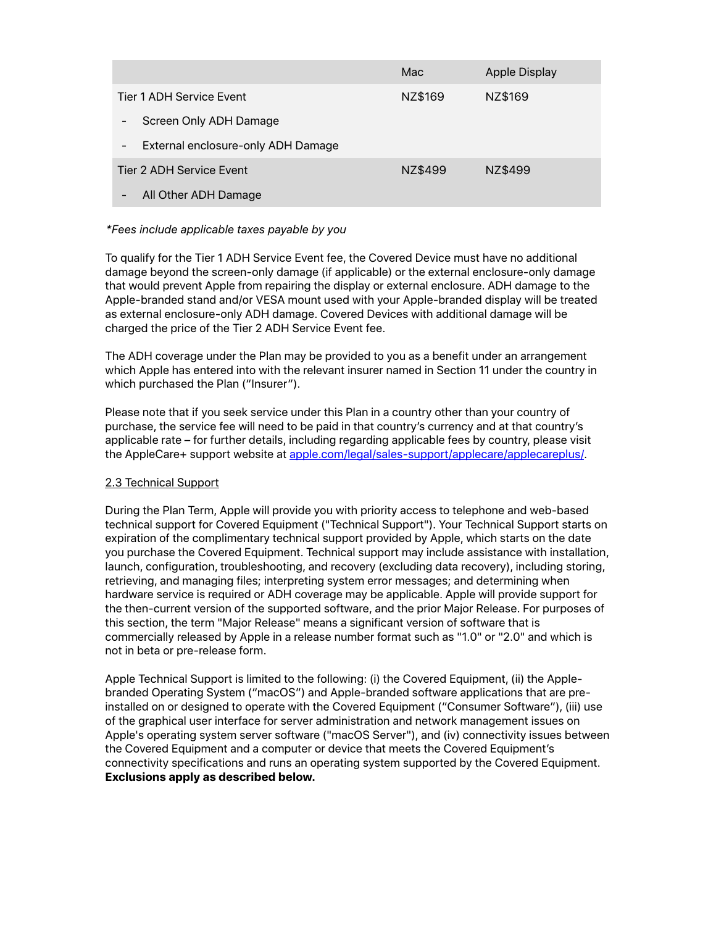|                                    | Mac     | Apple Display |  |
|------------------------------------|---------|---------------|--|
| Tier 1 ADH Service Event           | NZ\$169 | NZ\$169       |  |
| Screen Only ADH Damage             |         |               |  |
| External enclosure-only ADH Damage |         |               |  |
| Tier 2 ADH Service Event           | NZ\$499 | NZ\$499       |  |
| All Other ADH Damage               |         |               |  |

## *\*Fees include applicable taxes payable by you*

To qualify for the Tier 1 ADH Service Event fee, the Covered Device must have no additional damage beyond the screen-only damage (if applicable) or the external enclosure-only damage that would prevent Apple from repairing the display or external enclosure. ADH damage to the Apple-branded stand and/or VESA mount used with your Apple-branded display will be treated as external enclosure-only ADH damage. Covered Devices with additional damage will be charged the price of the Tier 2 ADH Service Event fee.

The ADH coverage under the Plan may be provided to you as a benefit under an arrangement which Apple has entered into with the relevant insurer named in Section 11 under the country in which purchased the Plan ("Insurer").

Please note that if you seek service under this Plan in a country other than your country of purchase, the service fee will need to be paid in that country's currency and at that country's applicable rate – for further details, including regarding applicable fees by country, please visit the AppleCare+ support website at [apple.com/legal/sales-support/applecare/applecareplus/.](http://www.apple.com/legal/sales-support/applecare/applecareplus/)

# 2.3 Technical Support

During the Plan Term, Apple will provide you with priority access to telephone and web-based technical support for Covered Equipment ("Technical Support"). Your Technical Support starts on expiration of the complimentary technical support provided by Apple, which starts on the date you purchase the Covered Equipment. Technical support may include assistance with installation, launch, configuration, troubleshooting, and recovery (excluding data recovery), including storing, retrieving, and managing files; interpreting system error messages; and determining when hardware service is required or ADH coverage may be applicable. Apple will provide support for the then-current version of the supported software, and the prior Major Release. For purposes of this section, the term "Major Release" means a significant version of software that is commercially released by Apple in a release number format such as "1.0" or "2.0" and which is not in beta or pre-release form.

Apple Technical Support is limited to the following: (i) the Covered Equipment, (ii) the Applebranded Operating System ("macOS") and Apple-branded software applications that are preinstalled on or designed to operate with the Covered Equipment ("Consumer Software"), (iii) use of the graphical user interface for server administration and network management issues on Apple's operating system server software ("macOS Server"), and (iv) connectivity issues between the Covered Equipment and a computer or device that meets the Covered Equipment's connectivity specifications and runs an operating system supported by the Covered Equipment. **Exclusions apply as described below.**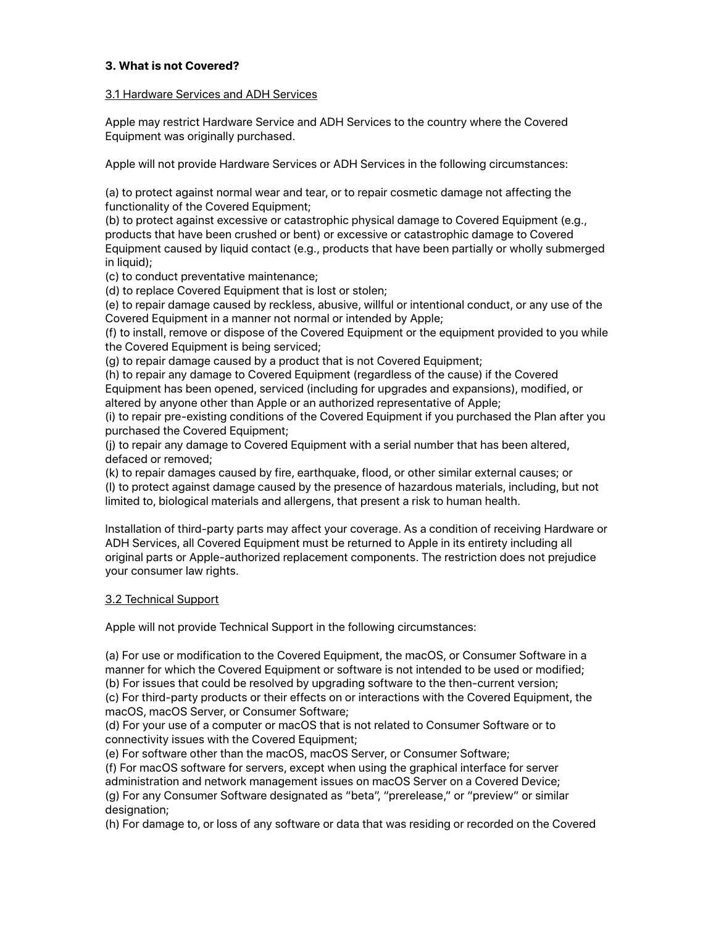# **3. What is not Covered?**

## 3.1 Hardware Services and ADH Services

Apple may restrict Hardware Service and ADH Services to the country where the Covered Equipment was originally purchased.

Apple will not provide Hardware Services or ADH Services in the following circumstances:

(a) to protect against normal wear and tear, or to repair cosmetic damage not affecting the functionality of the Covered Equipment;

(b) to protect against excessive or catastrophic physical damage to Covered Equipment (e.g., products that have been crushed or bent) or excessive or catastrophic damage to Covered Equipment caused by liquid contact (e.g., products that have been partially or wholly submerged in liquid);

(c) to conduct preventative maintenance;

(d) to replace Covered Equipment that is lost or stolen;

(e) to repair damage caused by reckless, abusive, willful or intentional conduct, or any use of the Covered Equipment in a manner not normal or intended by Apple;

(f) to install, remove or dispose of the Covered Equipment or the equipment provided to you while the Covered Equipment is being serviced;

(g) to repair damage caused by a product that is not Covered Equipment;

(h) to repair any damage to Covered Equipment (regardless of the cause) if the Covered Equipment has been opened, serviced (including for upgrades and expansions), modified, or altered by anyone other than Apple or an authorized representative of Apple;

(i) to repair pre-existing conditions of the Covered Equipment if you purchased the Plan after you purchased the Covered Equipment;

(j) to repair any damage to Covered Equipment with a serial number that has been altered, defaced or removed;

(k) to repair damages caused by fire, earthquake, flood, or other similar external causes; or (l) to protect against damage caused by the presence of hazardous materials, including, but not limited to, biological materials and allergens, that present a risk to human health.

Installation of third-party parts may affect your coverage. As a condition of receiving Hardware or ADH Services, all Covered Equipment must be returned to Apple in its entirety including all original parts or Apple-authorized replacement components. The restriction does not prejudice your consumer law rights.

## 3.2 Technical Support

Apple will not provide Technical Support in the following circumstances:

(a) For use or modification to the Covered Equipment, the macOS, or Consumer Software in a manner for which the Covered Equipment or software is not intended to be used or modified; (b) For issues that could be resolved by upgrading software to the then-current version; (c) For third-party products or their effects on or interactions with the Covered Equipment, the macOS, macOS Server, or Consumer Software;

(d) For your use of a computer or macOS that is not related to Consumer Software or to connectivity issues with the Covered Equipment;

(e) For software other than the macOS, macOS Server, or Consumer Software;

(f) For macOS software for servers, except when using the graphical interface for server administration and network management issues on macOS Server on a Covered Device; (g) For any Consumer Software designated as "beta", "prerelease," or "preview" or similar designation;

(h) For damage to, or loss of any software or data that was residing or recorded on the Covered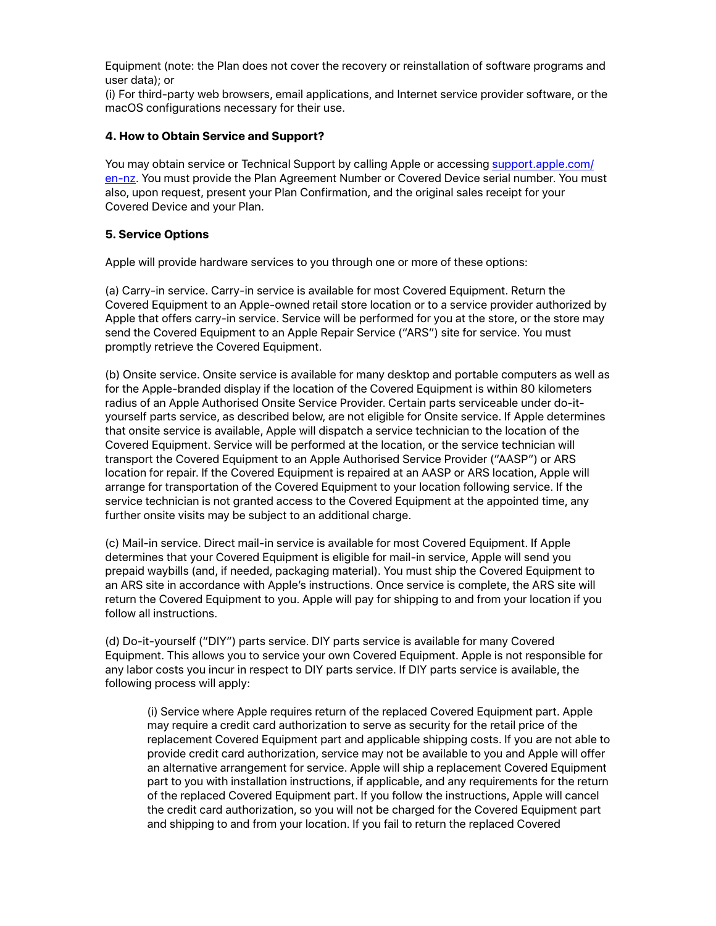Equipment (note: the Plan does not cover the recovery or reinstallation of software programs and user data); or

(i) For third-party web browsers, email applications, and Internet service provider software, or the macOS configurations necessary for their use.

#### **4. How to Obtain Service and Support?**

You may obtain service or Technical Support by calling Apple or accessing [support.apple.com/](mailto:support.apple.com/en-nz) [en-nz](mailto:support.apple.com/en-nz). You must provide the Plan Agreement Number or Covered Device serial number. You must also, upon request, present your Plan Confirmation, and the original sales receipt for your Covered Device and your Plan.

#### **5. Service Options**

Apple will provide hardware services to you through one or more of these options:

(a) Carry-in service. Carry-in service is available for most Covered Equipment. Return the Covered Equipment to an Apple-owned retail store location or to a service provider authorized by Apple that offers carry-in service. Service will be performed for you at the store, or the store may send the Covered Equipment to an Apple Repair Service ("ARS") site for service. You must promptly retrieve the Covered Equipment.

(b) Onsite service. Onsite service is available for many desktop and portable computers as well as for the Apple-branded display if the location of the Covered Equipment is within 80 kilometers radius of an Apple Authorised Onsite Service Provider. Certain parts serviceable under do-ityourself parts service, as described below, are not eligible for Onsite service. If Apple determines that onsite service is available, Apple will dispatch a service technician to the location of the Covered Equipment. Service will be performed at the location, or the service technician will transport the Covered Equipment to an Apple Authorised Service Provider ("AASP") or ARS location for repair. If the Covered Equipment is repaired at an AASP or ARS location, Apple will arrange for transportation of the Covered Equipment to your location following service. If the service technician is not granted access to the Covered Equipment at the appointed time, any further onsite visits may be subject to an additional charge.

(c) Mail-in service. Direct mail-in service is available for most Covered Equipment. If Apple determines that your Covered Equipment is eligible for mail-in service, Apple will send you prepaid waybills (and, if needed, packaging material). You must ship the Covered Equipment to an ARS site in accordance with Apple's instructions. Once service is complete, the ARS site will return the Covered Equipment to you. Apple will pay for shipping to and from your location if you follow all instructions.

(d) Do-it-yourself ("DIY") parts service. DIY parts service is available for many Covered Equipment. This allows you to service your own Covered Equipment. Apple is not responsible for any labor costs you incur in respect to DIY parts service. If DIY parts service is available, the following process will apply:

(i) Service where Apple requires return of the replaced Covered Equipment part. Apple may require a credit card authorization to serve as security for the retail price of the replacement Covered Equipment part and applicable shipping costs. If you are not able to provide credit card authorization, service may not be available to you and Apple will offer an alternative arrangement for service. Apple will ship a replacement Covered Equipment part to you with installation instructions, if applicable, and any requirements for the return of the replaced Covered Equipment part. If you follow the instructions, Apple will cancel the credit card authorization, so you will not be charged for the Covered Equipment part and shipping to and from your location. If you fail to return the replaced Covered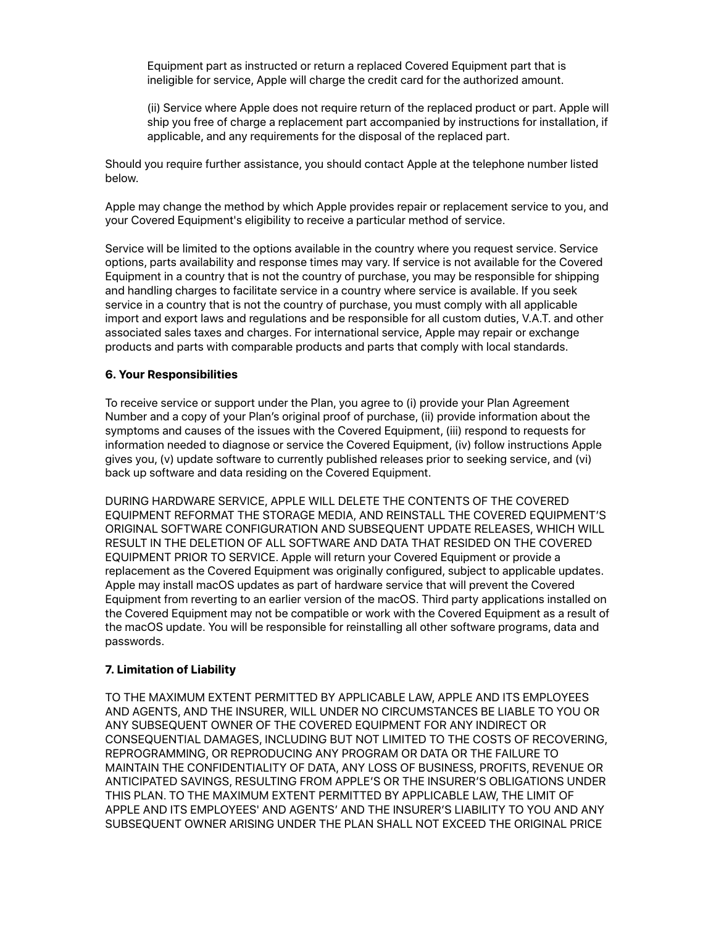Equipment part as instructed or return a replaced Covered Equipment part that is ineligible for service, Apple will charge the credit card for the authorized amount.

(ii) Service where Apple does not require return of the replaced product or part. Apple will ship you free of charge a replacement part accompanied by instructions for installation, if applicable, and any requirements for the disposal of the replaced part.

Should you require further assistance, you should contact Apple at the telephone number listed below.

Apple may change the method by which Apple provides repair or replacement service to you, and your Covered Equipment's eligibility to receive a particular method of service.

Service will be limited to the options available in the country where you request service. Service options, parts availability and response times may vary. If service is not available for the Covered Equipment in a country that is not the country of purchase, you may be responsible for shipping and handling charges to facilitate service in a country where service is available. If you seek service in a country that is not the country of purchase, you must comply with all applicable import and export laws and regulations and be responsible for all custom duties, V.A.T. and other associated sales taxes and charges. For international service, Apple may repair or exchange products and parts with comparable products and parts that comply with local standards.

## **6. Your Responsibilities**

To receive service or support under the Plan, you agree to (i) provide your Plan Agreement Number and a copy of your Plan's original proof of purchase, (ii) provide information about the symptoms and causes of the issues with the Covered Equipment, (iii) respond to requests for information needed to diagnose or service the Covered Equipment, (iv) follow instructions Apple gives you, (v) update software to currently published releases prior to seeking service, and (vi) back up software and data residing on the Covered Equipment.

DURING HARDWARE SERVICE, APPLE WILL DELETE THE CONTENTS OF THE COVERED EQUIPMENT REFORMAT THE STORAGE MEDIA, AND REINSTALL THE COVERED EQUIPMENT'S ORIGINAL SOFTWARE CONFIGURATION AND SUBSEQUENT UPDATE RELEASES, WHICH WILL RESULT IN THE DELETION OF ALL SOFTWARE AND DATA THAT RESIDED ON THE COVERED EQUIPMENT PRIOR TO SERVICE. Apple will return your Covered Equipment or provide a replacement as the Covered Equipment was originally configured, subject to applicable updates. Apple may install macOS updates as part of hardware service that will prevent the Covered Equipment from reverting to an earlier version of the macOS. Third party applications installed on the Covered Equipment may not be compatible or work with the Covered Equipment as a result of the macOS update. You will be responsible for reinstalling all other software programs, data and passwords.

## **7. Limitation of Liability**

TO THE MAXIMUM EXTENT PERMITTED BY APPLICABLE LAW, APPLE AND ITS EMPLOYEES AND AGENTS, AND THE INSURER, WILL UNDER NO CIRCUMSTANCES BE LIABLE TO YOU OR ANY SUBSEQUENT OWNER OF THE COVERED EQUIPMENT FOR ANY INDIRECT OR CONSEQUENTIAL DAMAGES, INCLUDING BUT NOT LIMITED TO THE COSTS OF RECOVERING, REPROGRAMMING, OR REPRODUCING ANY PROGRAM OR DATA OR THE FAILURE TO MAINTAIN THE CONFIDENTIALITY OF DATA, ANY LOSS OF BUSINESS, PROFITS, REVENUE OR ANTICIPATED SAVINGS, RESULTING FROM APPLE'S OR THE INSURER'S OBLIGATIONS UNDER THIS PLAN. TO THE MAXIMUM EXTENT PERMITTED BY APPLICABLE LAW, THE LIMIT OF APPLE AND ITS EMPLOYEES' AND AGENTS' AND THE INSURER'S LIABILITY TO YOU AND ANY SUBSEQUENT OWNER ARISING UNDER THE PLAN SHALL NOT EXCEED THE ORIGINAL PRICE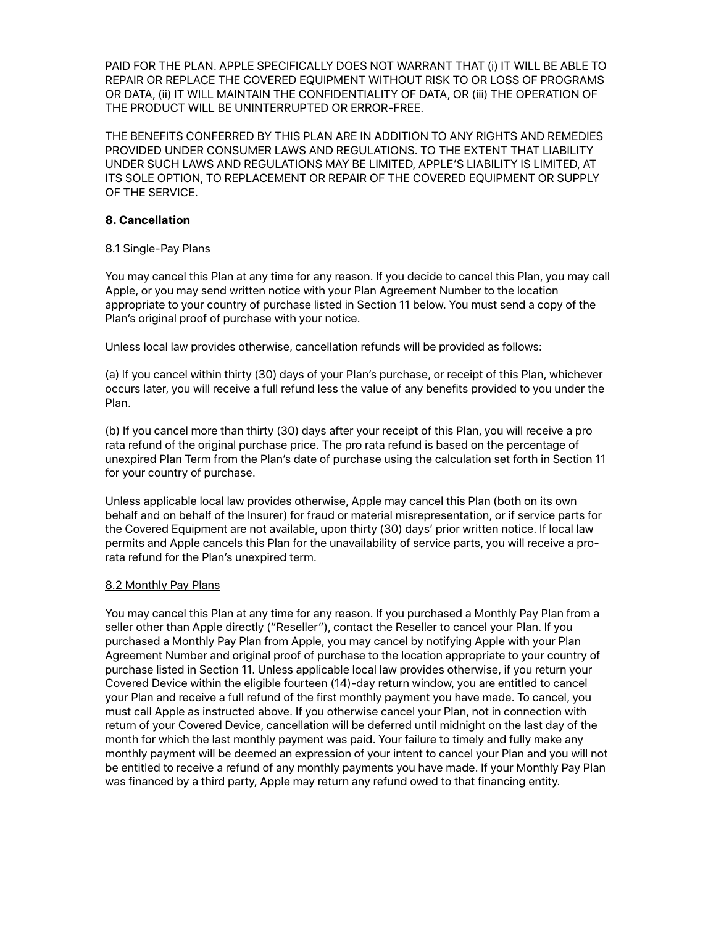PAID FOR THE PLAN. APPLE SPECIFICALLY DOES NOT WARRANT THAT (i) IT WILL BE ABLE TO REPAIR OR REPLACE THE COVERED EQUIPMENT WITHOUT RISK TO OR LOSS OF PROGRAMS OR DATA, (ii) IT WILL MAINTAIN THE CONFIDENTIALITY OF DATA, OR (iii) THE OPERATION OF THE PRODUCT WILL BE UNINTERRUPTED OR ERROR-FREE.

THE BENEFITS CONFERRED BY THIS PLAN ARE IN ADDITION TO ANY RIGHTS AND REMEDIES PROVIDED UNDER CONSUMER LAWS AND REGULATIONS. TO THE EXTENT THAT LIABILITY UNDER SUCH LAWS AND REGULATIONS MAY BE LIMITED, APPLE'S LIABILITY IS LIMITED, AT ITS SOLE OPTION, TO REPLACEMENT OR REPAIR OF THE COVERED EQUIPMENT OR SUPPLY OF THE SERVICE.

# **8. Cancellation**

## 8.1 Single-Pay Plans

You may cancel this Plan at any time for any reason. If you decide to cancel this Plan, you may call Apple, or you may send written notice with your Plan Agreement Number to the location appropriate to your country of purchase listed in Section 11 below. You must send a copy of the Plan's original proof of purchase with your notice.

Unless local law provides otherwise, cancellation refunds will be provided as follows:

(a) If you cancel within thirty (30) days of your Plan's purchase, or receipt of this Plan, whichever occurs later, you will receive a full refund less the value of any benefits provided to you under the Plan.

(b) If you cancel more than thirty (30) days after your receipt of this Plan, you will receive a pro rata refund of the original purchase price. The pro rata refund is based on the percentage of unexpired Plan Term from the Plan's date of purchase using the calculation set forth in Section 11 for your country of purchase.

Unless applicable local law provides otherwise, Apple may cancel this Plan (both on its own behalf and on behalf of the Insurer) for fraud or material misrepresentation, or if service parts for the Covered Equipment are not available, upon thirty (30) days' prior written notice. If local law permits and Apple cancels this Plan for the unavailability of service parts, you will receive a prorata refund for the Plan's unexpired term.

# 8.2 Monthly Pay Plans

You may cancel this Plan at any time for any reason. If you purchased a Monthly Pay Plan from a seller other than Apple directly ("Reseller"), contact the Reseller to cancel your Plan. If you purchased a Monthly Pay Plan from Apple, you may cancel by notifying Apple with your Plan Agreement Number and original proof of purchase to the location appropriate to your country of purchase listed in Section 11. Unless applicable local law provides otherwise, if you return your Covered Device within the eligible fourteen (14)-day return window, you are entitled to cancel your Plan and receive a full refund of the first monthly payment you have made. To cancel, you must call Apple as instructed above. If you otherwise cancel your Plan, not in connection with return of your Covered Device, cancellation will be deferred until midnight on the last day of the month for which the last monthly payment was paid. Your failure to timely and fully make any monthly payment will be deemed an expression of your intent to cancel your Plan and you will not be entitled to receive a refund of any monthly payments you have made. If your Monthly Pay Plan was financed by a third party, Apple may return any refund owed to that financing entity.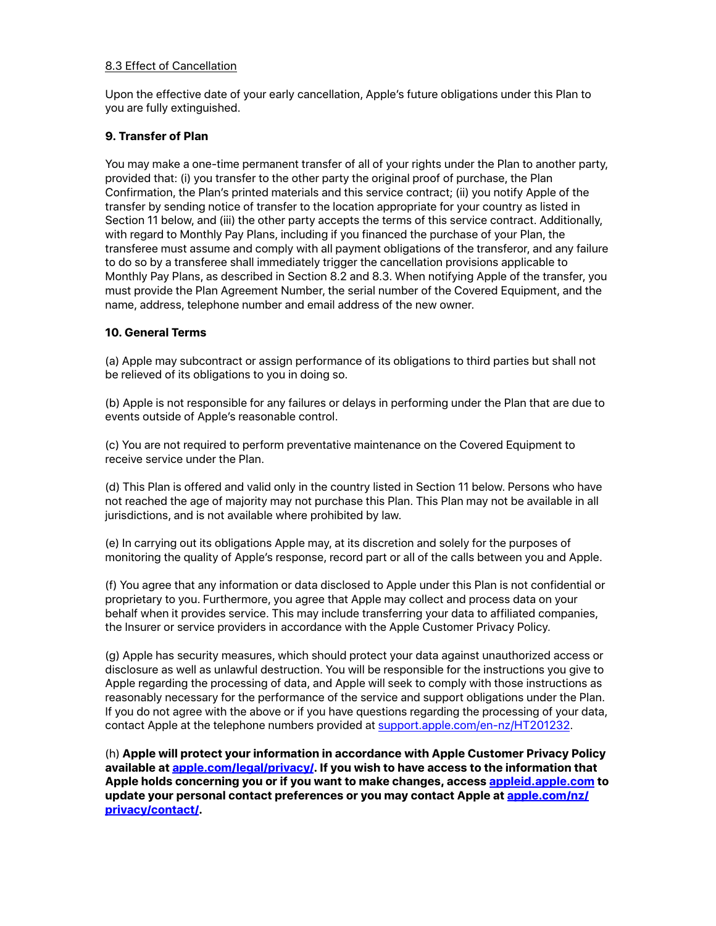## 8.3 Effect of Cancellation

Upon the effective date of your early cancellation, Apple's future obligations under this Plan to you are fully extinguished.

# **9. Transfer of Plan**

You may make a one-time permanent transfer of all of your rights under the Plan to another party, provided that: (i) you transfer to the other party the original proof of purchase, the Plan Confirmation, the Plan's printed materials and this service contract; (ii) you notify Apple of the transfer by sending notice of transfer to the location appropriate for your country as listed in Section 11 below, and (iii) the other party accepts the terms of this service contract. Additionally, with regard to Monthly Pay Plans, including if you financed the purchase of your Plan, the transferee must assume and comply with all payment obligations of the transferor, and any failure to do so by a transferee shall immediately trigger the cancellation provisions applicable to Monthly Pay Plans, as described in Section 8.2 and 8.3. When notifying Apple of the transfer, you must provide the Plan Agreement Number, the serial number of the Covered Equipment, and the name, address, telephone number and email address of the new owner.

# **10. General Terms**

(a) Apple may subcontract or assign performance of its obligations to third parties but shall not be relieved of its obligations to you in doing so.

(b) Apple is not responsible for any failures or delays in performing under the Plan that are due to events outside of Apple's reasonable control.

(c) You are not required to perform preventative maintenance on the Covered Equipment to receive service under the Plan.

(d) This Plan is offered and valid only in the country listed in Section 11 below. Persons who have not reached the age of majority may not purchase this Plan. This Plan may not be available in all jurisdictions, and is not available where prohibited by law.

(e) In carrying out its obligations Apple may, at its discretion and solely for the purposes of monitoring the quality of Apple's response, record part or all of the calls between you and Apple.

(f) You agree that any information or data disclosed to Apple under this Plan is not confidential or proprietary to you. Furthermore, you agree that Apple may collect and process data on your behalf when it provides service. This may include transferring your data to affiliated companies, the Insurer or service providers in accordance with the Apple Customer Privacy Policy.

(g) Apple has security measures, which should protect your data against unauthorized access or disclosure as well as unlawful destruction. You will be responsible for the instructions you give to Apple regarding the processing of data, and Apple will seek to comply with those instructions as reasonably necessary for the performance of the service and support obligations under the Plan. If you do not agree with the above or if you have questions regarding the processing of your data, contact Apple at the telephone numbers provided at [support.apple.com/en-nz/HT201232.](http://support.apple.com/en-nz/HT201232)

(h) **Apple will protect your information in accordance with Apple Customer Privacy Policy available at [apple.com/legal/privacy/](http://www.apple.com/legal/privacy/). If you wish to have access to the information that Apple holds concerning you or if you want to make changes, access [appleid.apple.com](https://appleid.apple.com) to update your personal contact preferences or you may contact Apple at [apple.com/nz/](https://www.apple.com/nz/privacy/contact/) [privacy/contact/](https://www.apple.com/nz/privacy/contact/).**